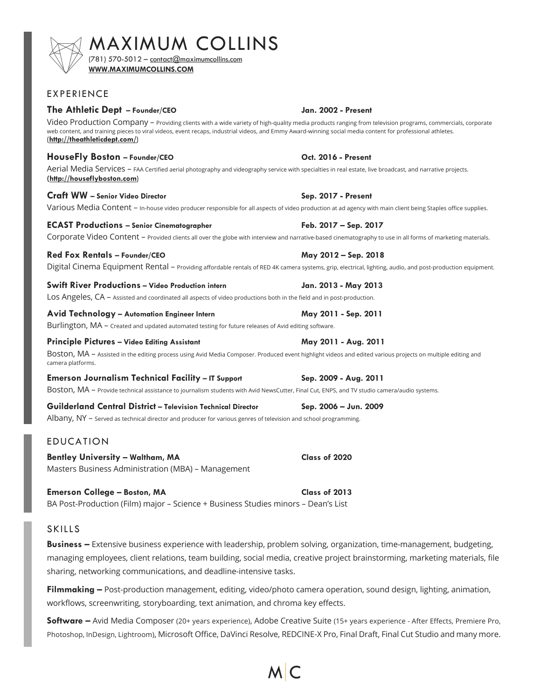# $\mathsf{MAXIMUM}\hspace{-0.05cm}\bullet \hspace{-0.05cm} \mathsf{COLLINS}\hspace{-0.05cm}\hspace{-0.05cm}\mathsf{311}$

**WWW.MAXIMUMCOLLINS.COM**

# EXPERIENCE

# **The Athletic Dept – Founder/CEO Jan. 2002 - Present**

Video Production Company - Providing clients with a wide variety of high-quality media products ranging from television programs, commercials, corporate web content, and training pieces to viral videos, event recaps, industrial videos, and Emmy Award-winning social media content for professional athletes. (**http://theathleticdept.com/**)

# **HouseFly Boston – Founder/CEO Oct. 2016 - Present**

Aerial Media Services - FAA Certified aerial photography and videography service with specialties in real estate, live broadcast, and narrative projects. **(http://houseflyboston.com**)

### **Craft WW – Senior Video Director Sep. 2017 - Present**

Various Media Content - In-house video producer responsible for all aspects of video production at ad agency with main client being Staples office supplies.

### **ECAST Productions – Senior Cinematographer Feb. 2017 – Sep. 2017**

Corporate Video Content - Provided clients all over the globe with interview and narrative-based cinematography to use in all forms of marketing materials.

### **Red Fox Rentals – Founder/CEO May 2012 – Sep. 2018**

Digital Cinema Equipment Rental – Providing affordable rentals of RED 4K camera systems, grip, electrical, lighting, audio, and post-production equipment.

#### **Swift River Productions – Video Production intern Jan. 2013 - May 2013**

Los Angeles, CA – Assisted and coordinated all aspects of video productions both in the field and in post-production.

#### **Avid Technology – Automation Engineer Intern May 2011 - Sep. 2011**

Burlington, MA - Created and updated automated testing for future releases of Avid editing software.

#### **Principle Pictures – Video Editing Assistant May 2011 - Aug. 2011**

BOStON, MA - Assisted in the editing process using Avid Media Composer. Produced event highlight videos and edited various projects on multiple editing and camera platforms.

**Emerson Journalism Technical Facility – IT Support Sep. 2009 - Aug. 2011** BOStON, MA - Provide technical assistance to journalism students with Avid NewsCutter, Final Cut, ENPS, and TV studio camera/audio systems.

**Guilderland Central District – Television Technical Director Sep. 2006 – Jun. 2009** Albany, NY – Served as technical director and producer for various genres of television and school programming.

# EDUCATION

**Bentley University – Waltham, MA Class of 2020** Masters Business Administration (MBA) – Management

**Emerson College – Boston, MA Class of 2013** BA Post-Production (Film) major – Science + Business Studies minors – Dean's List

# SKILLS

**Business –** Extensive business experience with leadership, problem solving, organization, time-management, budgeting, managing employees, client relations, team building, social media, creative project brainstorming, marketing materials, file sharing, networking communications, and deadline-intensive tasks.

**Filmmaking –** Post-production management, editing, video/photo camera operation, sound design, lighting, animation, workflows, screenwriting, storyboarding, text animation, and chroma key effects.

**Software –** Avid Media Composer (20+ years experience), Adobe Creative Suite (15+ years experience - After Effects, Premiere Pro, Photoshop, InDesign, Lightroom), Microsoft Office, DaVinci Resolve, REDCINE-X Pro, Final Draft, Final Cut Studio and many more.